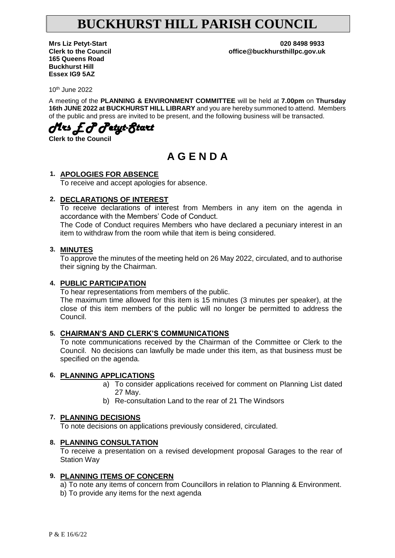# **BUCKHURST HILL PARISH COUNCIL**

**165 Queens Road Buckhurst Hill Essex IG9 5AZ**

**Mrs Liz Petyt-Start 020 8498 9933 Clerk to the Council office@buckhursthillpc.gov.uk**

10th June 2022

A meeting of the **PLANNING & ENVIRONMENT COMMITTEE** will be held at **7.00pm** on **Thursday 16th JUNE 2022 at BUCKHURST HILL LIBRARY** and you are hereby summoned to attend. Members of the public and press are invited to be present, and the following business will be transacted.

*Mrs E P Petyt-Start* 

**Clerk to the Council**

## **A G E N D A**

#### **1. APOLOGIES FOR ABSENCE**

To receive and accept apologies for absence.

#### **2. DECLARATIONS OF INTEREST**

To receive declarations of interest from Members in any item on the agenda in accordance with the Members' Code of Conduct.

The Code of Conduct requires Members who have declared a pecuniary interest in an item to withdraw from the room while that item is being considered.

#### **3. MINUTES**

To approve the minutes of the meeting held on 26 May 2022, circulated, and to authorise their signing by the Chairman.

#### **4. PUBLIC PARTICIPATION**

To hear representations from members of the public.

The maximum time allowed for this item is 15 minutes (3 minutes per speaker), at the close of this item members of the public will no longer be permitted to address the Council.

#### **5. CHAIRMAN'S AND CLERK'S COMMUNICATIONS**

To note communications received by the Chairman of the Committee or Clerk to the Council. No decisions can lawfully be made under this item, as that business must be specified on the agenda.

#### **6. PLANNING APPLICATIONS**

- a) To consider applications received for comment on Planning List dated 27 May.
- b) Re-consultation Land to the rear of 21 The Windsors

#### **7. PLANNING DECISIONS**

To note decisions on applications previously considered, circulated.

#### **8. PLANNING CONSULTATION**

To receive a presentation on a revised development proposal Garages to the rear of Station Way

#### **9. PLANNING ITEMS OF CONCERN**

a) To note any items of concern from Councillors in relation to Planning & Environment.

b) To provide any items for the next agenda